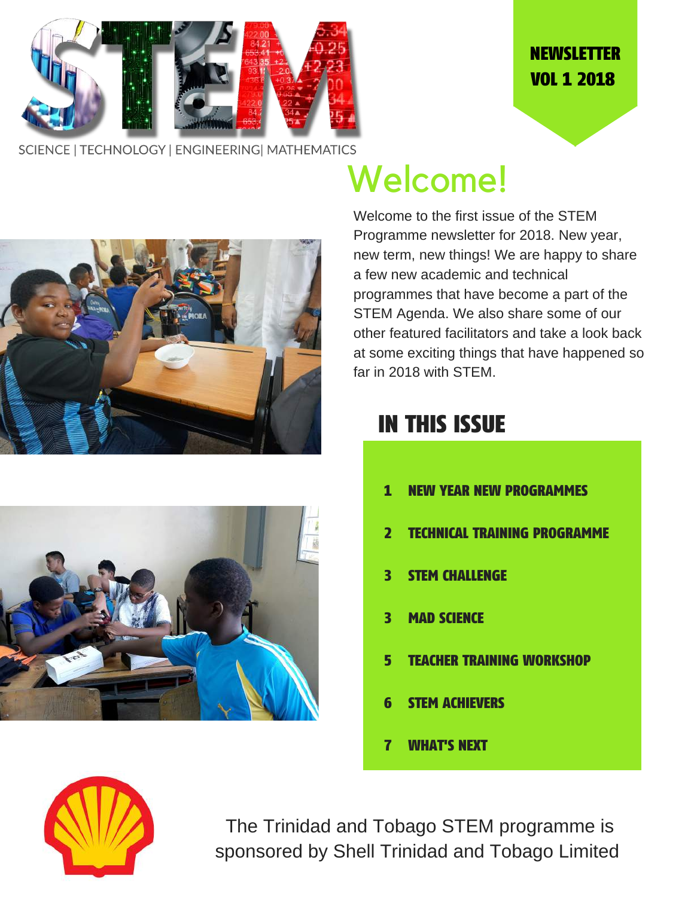

### **NEWSLETTER** VOL 1 2018

SCIENCE | TECHNOLOGY | ENGINEERING | MATHEMATICS





# Welcome!

Welcome to the first issue of the STEM Programme newsletter for 2018. New year, new term, new things! We are happy to share a few new academic and technical programmes that have become a part of the STEM Agenda. We also share some of our other featured facilitators and take a look back at some exciting things that have happened so far in 2018 with STEM.

## IN THIS ISSUE

- 1 NEW YEAR NEW PROGRAMMES
- 2 TECHNICAL TRAINING PROGRAMME
- 3 STEM CHALLENGE
- 3 MAD SCIENCE
- 5 TEACHER TRAINING WORKSHOP
- 6 STEM ACHIEVERS
- 7 WHAT'S NEXT



The Trinidad and Tobago STEM programme is sponsored by Shell Trinidad and Tobago Limited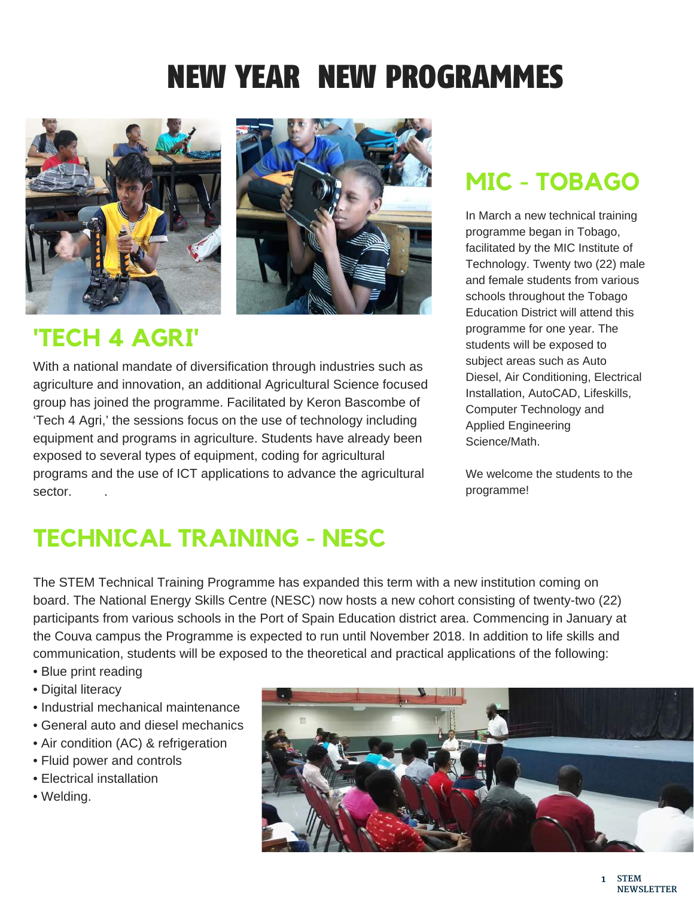# NEW YEAR NEW PROGRAMMES





## **'TECH 4 AGRI'**

With a national mandate of diversification through industries such as agriculture and innovation, an additional Agricultural Science focused group has joined the programme. Facilitated by Keron Bascombe of 'Tech 4 Agri,' the sessions focus on the use of technology including equipment and programs in agriculture. Students have already been exposed to several types of equipment, coding for agricultural programs and the use of ICT applications to advance the agricultural sector. .

## **MIC - TOBAGO**

In March a new technical training programme began in Tobago, facilitated by the MIC Institute of Technology. Twenty two (22) male and female students from various schools throughout the Tobago Education District will attend this programme for one year. The students will be exposed to subject areas such as Auto Diesel, Air Conditioning, Electrical Installation, AutoCAD, Lifeskills, Computer Technology and Applied Engineering Science/Math.

We welcome the students to the programme!

## **TECHNICAL TRAINING - NESC**

The STEM Technical Training Programme has expanded this term with a new institution coming on board. The National Energy Skills Centre (NESC) now hosts a new cohort consisting of twenty-two (22) participants from various schools in the Port of Spain Education district area. Commencing in January at the Couva campus the Programme is expected to run until November 2018. In addition to life skills and communication, students will be exposed to the theoretical and practical applications of the following:

- Blue print reading
- Digital literacy
- Industrial mechanical maintenance
- General auto and diesel mechanics
- Air condition (AC) & refrigeration
- Fluid power and controls
- Electrical installation
- Welding.

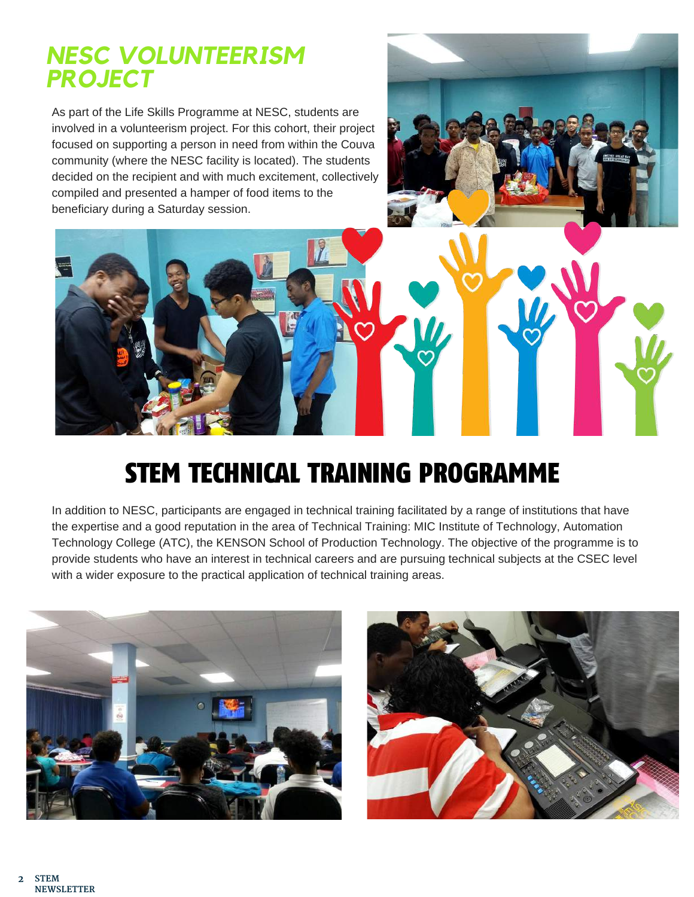### *NESC VOLUNTEERISM PROJECT*

As part of the Life Skills Programme at NESC, students are involved in a volunteerism project. For this cohort, their project focused on supporting a person in need from within the Couva community (where the NESC facility is located). The students decided on the recipient and with much excitement, collectively compiled and presented a hamper of food items to the beneficiary during a Saturday session.



# STEM TECHNICAL TRAINING PROGRAMME

In addition to NESC, participants are engaged in technical training facilitated by a range of institutions that have the expertise and a good reputation in the area of Technical Training: MIC Institute of Technology, Automation Technology College (ATC), the KENSON School of Production Technology. The objective of the programme is to provide students who have an interest in technical careers and are pursuing technical subjects at the CSEC level with a wider exposure to the practical application of technical training areas.



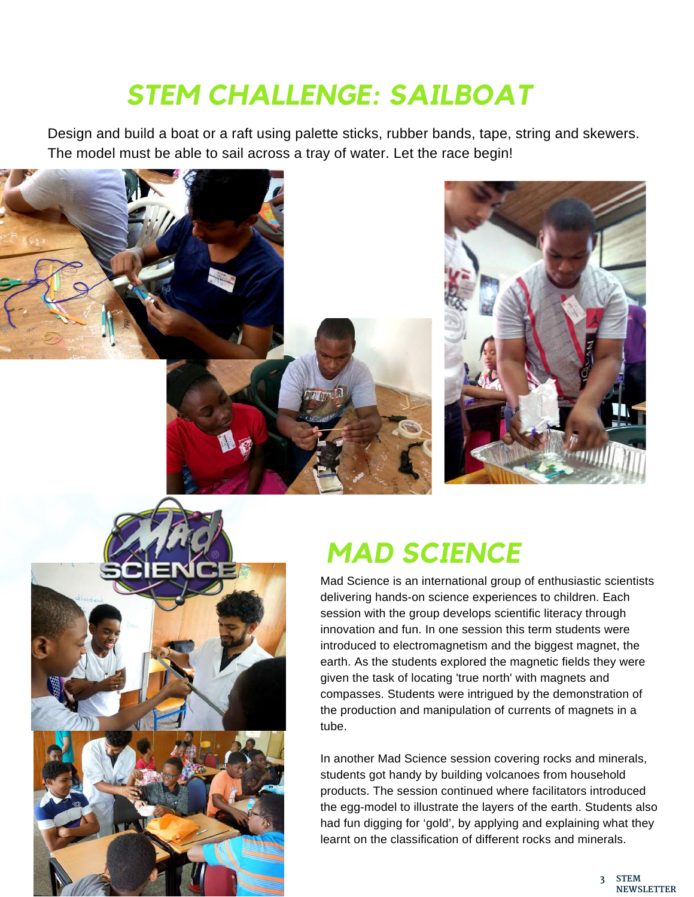# *STEM CHALLENGE: SAILBOAT*

Design and build a boat or a raft using palette sticks, rubber bands, tape, string and skewers. The model must be able to sail across a tray of water. Let the race begin!





# *MAD SCIENCE*

Mad Science is an international group of enthusiastic scientists delivering hands-on science experiences to children. Each session with the group develops scientific literacy through innovation and fun. In one session this term students were introduced to electromagnetism and the biggest magnet, the earth. As the students explored the magnetic fields they were given the task of locating 'true north' with magnets and compasses. Students were intrigued by the demonstration of the production and manipulation of currents of magnets in a tube.

In another Mad Science session covering rocks and minerals, students got handy by building volcanoes from household products. The session continued where facilitators introduced the egg-model to illustrate the layers of the earth. Students also had fun digging for 'gold', by applying and explaining what they learnt on the classification of different rocks and minerals.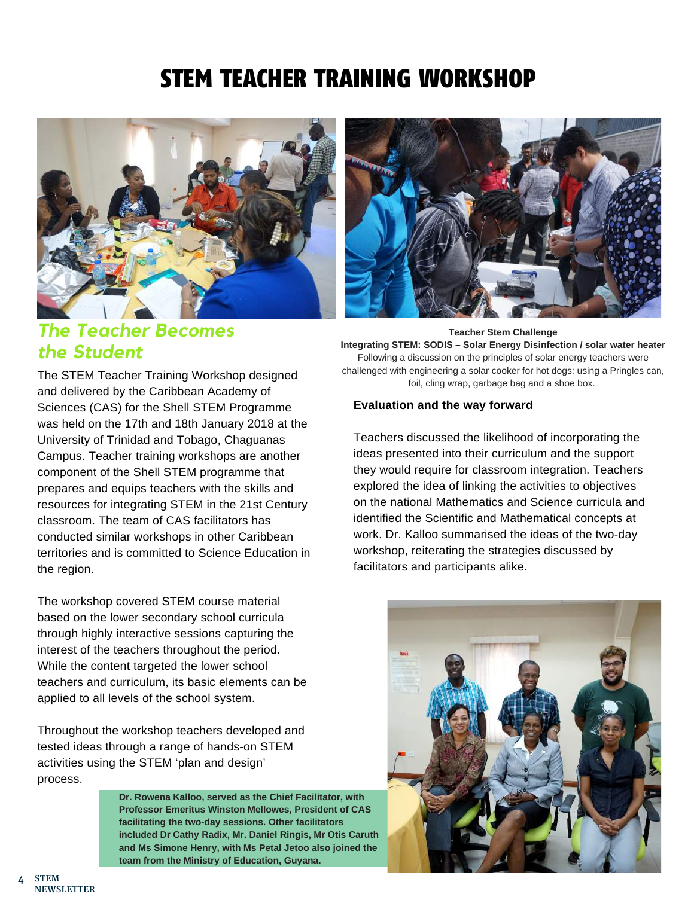## STEM TEACHER TRAINING WORKSHOP





### *The Teacher Becomes the Student*

The STEM Teacher Training Workshop designed and delivered by the Caribbean Academy of Sciences (CAS) for the Shell STEM Programme was held on the 17th and 18th January 2018 at the University of Trinidad and Tobago, Chaguanas Campus. Teacher training workshops are another component of the Shell STEM programme that prepares and equips teachers with the skills and resources for integrating STEM in the 21st Century classroom. The team of CAS facilitators has conducted similar workshops in other Caribbean territories and is committed to Science Education in the region.

The workshop covered STEM course material based on the lower secondary school curricula through highly interactive sessions capturing the interest of the teachers throughout the period. While the content targeted the lower school teachers and curriculum, its basic elements can be applied to all levels of the school system.

Throughout the workshop teachers developed and tested ideas through a range of hands-on STEM activities using the STEM 'plan and design' process.

> **Dr. Rowena Kalloo, served as the Chief Facilitator, with Professor Emeritus Winston Mellowes, President of CAS facilitating the two-day sessions. Other facilitators included Dr Cathy Radix, Mr. Daniel Ringis, Mr Otis Caruth and Ms Simone Henry, with Ms Petal Jetoo also joined the team from the Ministry of Education, Guyana.**

**Teacher Stem Challenge Integrating STEM: SODIS – Solar Energy Disinfection / solar water heater** Following a discussion on the principles of solar energy teachers were challenged with engineering a solar cooker for hot dogs: using a Pringles can, foil, cling wrap, garbage bag and a shoe box.

#### **Evaluation and the way forward**

Teachers discussed the likelihood of incorporating the ideas presented into their curriculum and the support they would require for classroom integration. Teachers explored the idea of linking the activities to objectives on the national Mathematics and Science curricula and identified the Scientific and Mathematical concepts at work. Dr. Kalloo summarised the ideas of the two-day workshop, reiterating the strategies discussed by facilitators and participants alike.

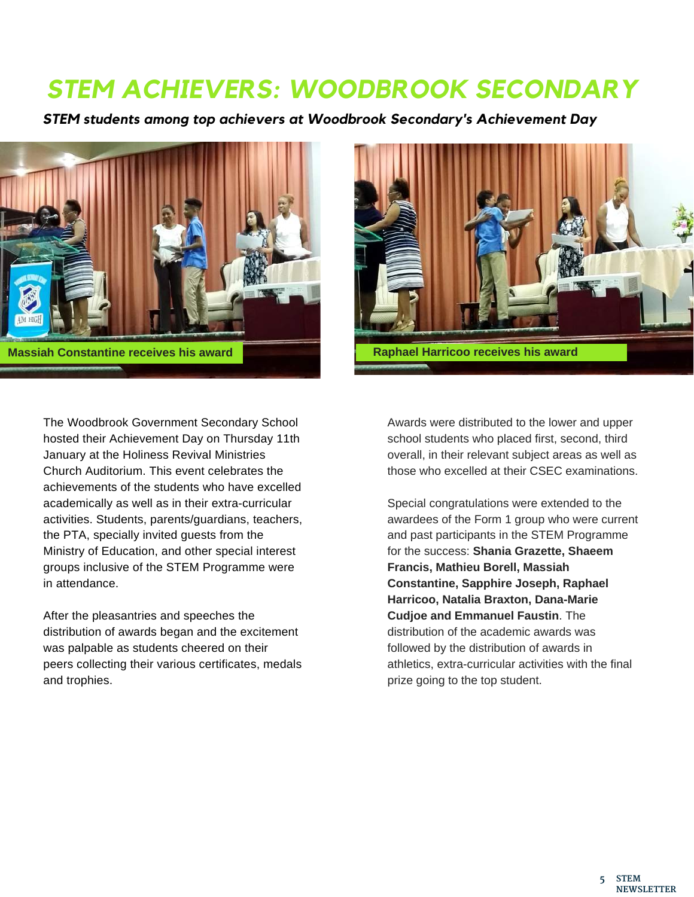## *STEM ACHIEVERS: WOODBROOK SECONDARY*

*STEM students among top achievers at Woodbrook Secondary's Achievement Day*





The Woodbrook Government Secondary School hosted their Achievement Day on Thursday 11th January at the Holiness Revival Ministries Church Auditorium. This event celebrates the achievements of the students who have excelled academically as well as in their extra-curricular activities. Students, parents/guardians, teachers, the PTA, specially invited guests from the Ministry of Education, and other special interest groups inclusive of the STEM Programme were in attendance.

After the pleasantries and speeches the distribution of awards began and the excitement was palpable as students cheered on their peers collecting their various certificates, medals and trophies.

Awards were distributed to the lower and upper school students who placed first, second, third overall, in their relevant subject areas as well as those who excelled at their CSEC examinations.

Special congratulations were extended to the awardees of the Form 1 group who were current and past participants in the STEM Programme for the success: **Shania Grazette, Shaeem Francis, Mathieu Borell, Massiah Constantine, Sapphire Joseph, Raphael Harricoo, Natalia Braxton, Dana-Marie Cudjoe and Emmanuel Faustin**. The distribution of the academic awards was followed by the distribution of awards in athletics, extra-curricular activities with the final prize going to the top student.